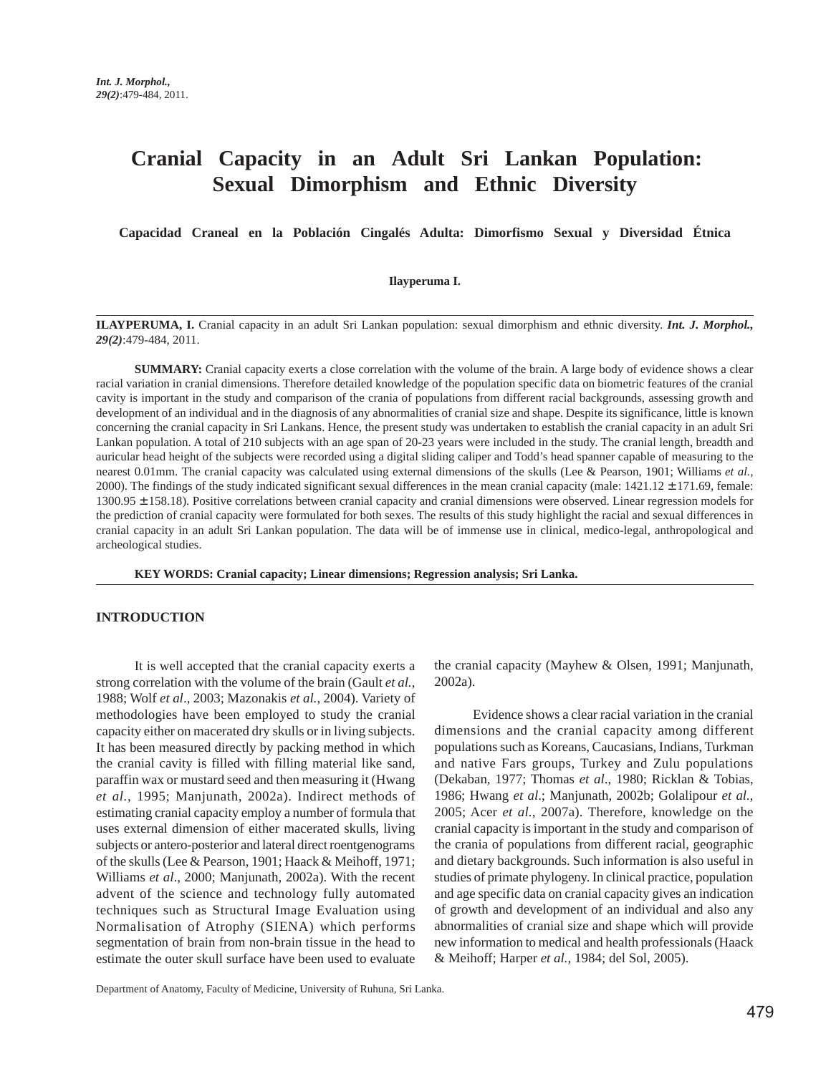# **Cranial Capacity in an Adult Sri Lankan Population: Sexual Dimorphism and Ethnic Diversity**

**Capacidad Craneal en la Población Cingalés Adulta: Dimorfismo Sexual y Diversidad Étnica**

#### **Ilayperuma I.**

**ILAYPERUMA, I.** Cranial capacity in an adult Sri Lankan population: sexual dimorphism and ethnic diversity. *Int. J. Morphol., 29(2)*:479-484, 2011.

**SUMMARY:** Cranial capacity exerts a close correlation with the volume of the brain. A large body of evidence shows a clear racial variation in cranial dimensions. Therefore detailed knowledge of the population specific data on biometric features of the cranial cavity is important in the study and comparison of the crania of populations from different racial backgrounds, assessing growth and development of an individual and in the diagnosis of any abnormalities of cranial size and shape. Despite its significance, little is known concerning the cranial capacity in Sri Lankans. Hence, the present study was undertaken to establish the cranial capacity in an adult Sri Lankan population. A total of 210 subjects with an age span of 20-23 years were included in the study. The cranial length, breadth and auricular head height of the subjects were recorded using a digital sliding caliper and Todd's head spanner capable of measuring to the nearest 0.01mm. The cranial capacity was calculated using external dimensions of the skulls (Lee & Pearson, 1901; Williams *et al.,* 2000). The findings of the study indicated significant sexual differences in the mean cranial capacity (male: 1421.12 ± 171.69, female:  $1300.95 \pm 158.18$ ). Positive correlations between cranial capacity and cranial dimensions were observed. Linear regression models for the prediction of cranial capacity were formulated for both sexes. The results of this study highlight the racial and sexual differences in cranial capacity in an adult Sri Lankan population. The data will be of immense use in clinical, medico-legal, anthropological and archeological studies.

**KEY WORDS: Cranial capacity; Linear dimensions; Regression analysis; Sri Lanka.**

#### **INTRODUCTION**

It is well accepted that the cranial capacity exerts a strong correlation with the volume of the brain (Gault *et al.*, 1988; Wolf *et al*., 2003; Mazonakis *et al.*, 2004). Variety of methodologies have been employed to study the cranial capacity either on macerated dry skulls or in living subjects. It has been measured directly by packing method in which the cranial cavity is filled with filling material like sand, paraffin wax or mustard seed and then measuring it (Hwang *et al.,* 1995; Manjunath, 2002a). Indirect methods of estimating cranial capacity employ a number of formula that uses external dimension of either macerated skulls, living subjects or antero-posterior and lateral direct roentgenograms of the skulls (Lee & Pearson, 1901; Haack & Meihoff, 1971; Williams *et al*., 2000; Manjunath, 2002a). With the recent advent of the science and technology fully automated techniques such as Structural Image Evaluation using Normalisation of Atrophy (SIENA) which performs segmentation of brain from non-brain tissue in the head to estimate the outer skull surface have been used to evaluate

the cranial capacity (Mayhew & Olsen, 1991; Manjunath, 2002a).

Evidence shows a clear racial variation in the cranial dimensions and the cranial capacity among different populations such as Koreans, Caucasians, Indians, Turkman and native Fars groups, Turkey and Zulu populations (Dekaban, 1977; Thomas *et al*., 1980; Ricklan & Tobias, 1986; Hwang *et al*.; Manjunath, 2002b; Golalipour *et al.*, 2005; Acer *et al.*, 2007a). Therefore, knowledge on the cranial capacity is important in the study and comparison of the crania of populations from different racial, geographic and dietary backgrounds. Such information is also useful in studies of primate phylogeny. In clinical practice, population and age specific data on cranial capacity gives an indication of growth and development of an individual and also any abnormalities of cranial size and shape which will provide new information to medical and health professionals (Haack & Meihoff; Harper *et al.*, 1984; del Sol, 2005).

Department of Anatomy, Faculty of Medicine, University of Ruhuna, Sri Lanka.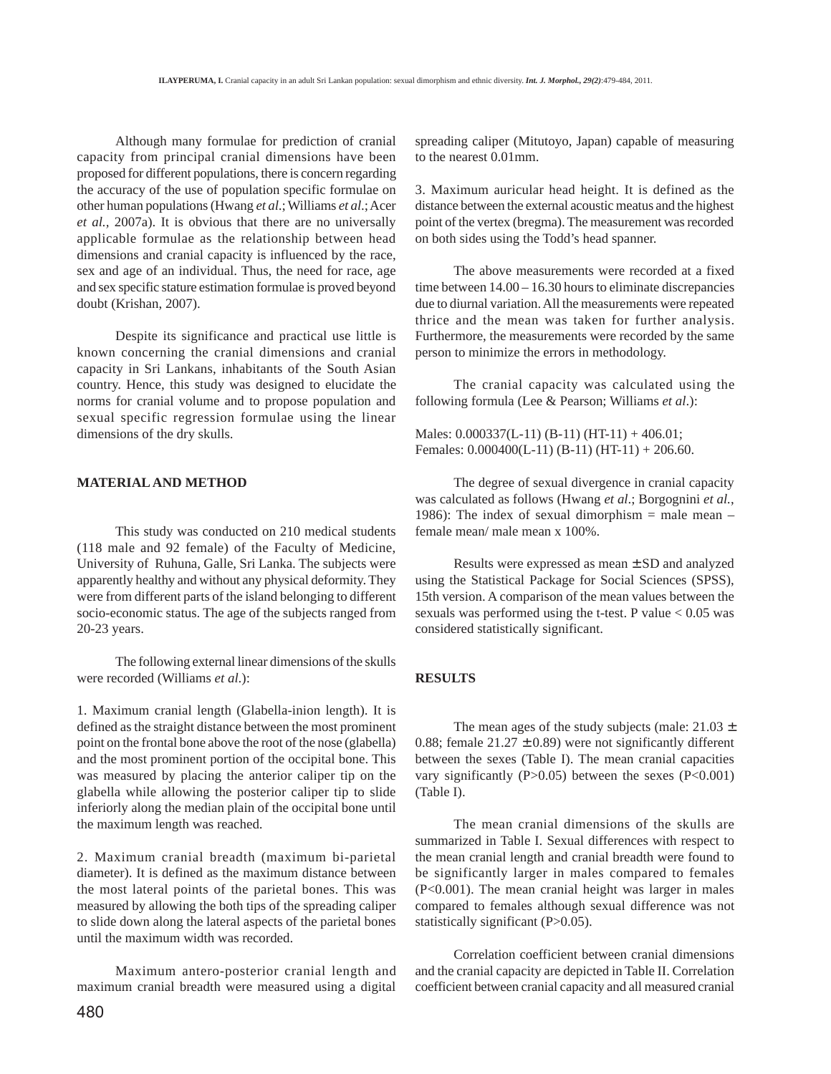Although many formulae for prediction of cranial capacity from principal cranial dimensions have been proposed for different populations, there is concern regarding the accuracy of the use of population specific formulae on other human populations (Hwang *et al*.; Williams *et al*.; Acer *et al.,* 2007a). It is obvious that there are no universally applicable formulae as the relationship between head dimensions and cranial capacity is influenced by the race, sex and age of an individual. Thus, the need for race, age and sex specific stature estimation formulae is proved beyond doubt (Krishan, 2007).

Despite its significance and practical use little is known concerning the cranial dimensions and cranial capacity in Sri Lankans, inhabitants of the South Asian country. Hence, this study was designed to elucidate the norms for cranial volume and to propose population and sexual specific regression formulae using the linear dimensions of the dry skulls.

#### **MATERIAL AND METHOD**

This study was conducted on 210 medical students (118 male and 92 female) of the Faculty of Medicine, University of Ruhuna, Galle, Sri Lanka. The subjects were apparently healthy and without any physical deformity. They were from different parts of the island belonging to different socio-economic status. The age of the subjects ranged from 20-23 years.

The following external linear dimensions of the skulls were recorded (Williams *et al*.):

1. Maximum cranial length (Glabella-inion length). It is defined as the straight distance between the most prominent point on the frontal bone above the root of the nose (glabella) and the most prominent portion of the occipital bone. This was measured by placing the anterior caliper tip on the glabella while allowing the posterior caliper tip to slide inferiorly along the median plain of the occipital bone until the maximum length was reached.

2. Maximum cranial breadth (maximum bi-parietal diameter). It is defined as the maximum distance between the most lateral points of the parietal bones. This was measured by allowing the both tips of the spreading caliper to slide down along the lateral aspects of the parietal bones until the maximum width was recorded.

Maximum antero-posterior cranial length and maximum cranial breadth were measured using a digital

spreading caliper (Mitutoyo, Japan) capable of measuring to the nearest 0.01mm.

3. Maximum auricular head height. It is defined as the distance between the external acoustic meatus and the highest point of the vertex (bregma). The measurement was recorded on both sides using the Todd's head spanner.

The above measurements were recorded at a fixed time between 14.00 – 16.30 hours to eliminate discrepancies due to diurnal variation. All the measurements were repeated thrice and the mean was taken for further analysis. Furthermore, the measurements were recorded by the same person to minimize the errors in methodology.

The cranial capacity was calculated using the following formula (Lee & Pearson; Williams *et al*.):

Males: 0.000337(L-11) (B-11) (HT-11) + 406.01; Females:  $0.000400(L-11)$  (B-11) (HT-11) + 206.60.

The degree of sexual divergence in cranial capacity was calculated as follows (Hwang *et al*.; Borgognini *et al.*, 1986): The index of sexual dimorphism  $=$  male mean  $$ female mean/ male mean x 100%.

Results were expressed as mean ± SD and analyzed using the Statistical Package for Social Sciences (SPSS), 15th version. A comparison of the mean values between the sexuals was performed using the t-test. P value  $< 0.05$  was considered statistically significant.

## **RESULTS**

The mean ages of the study subjects (male:  $21.03 \pm$ 0.88; female  $21.27 \pm 0.89$ ) were not significantly different between the sexes (Table I). The mean cranial capacities vary significantly  $(P>0.05)$  between the sexes  $(P<0.001)$ (Table I).

The mean cranial dimensions of the skulls are summarized in Table I. Sexual differences with respect to the mean cranial length and cranial breadth were found to be significantly larger in males compared to females (P<0.001). The mean cranial height was larger in males compared to females although sexual difference was not statistically significant (P>0.05).

Correlation coefficient between cranial dimensions and the cranial capacity are depicted in Table II. Correlation coefficient between cranial capacity and all measured cranial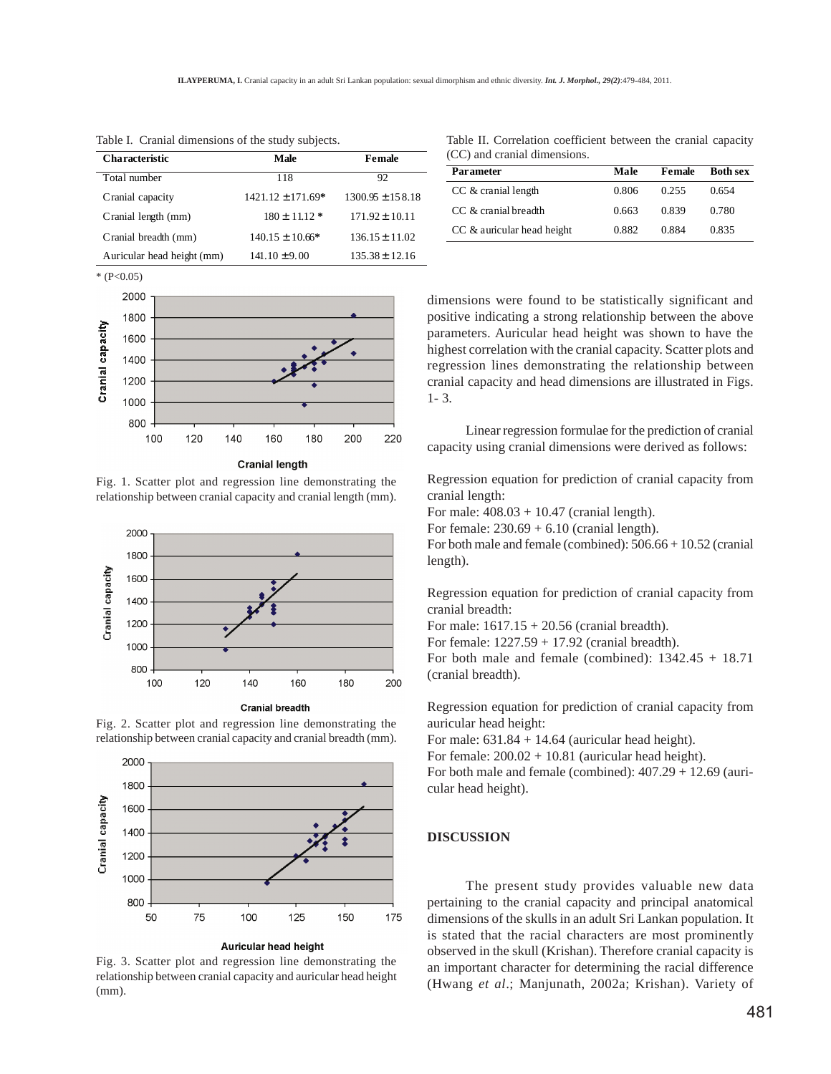| <b>Characteristic</b>      | Male                  | Female               |
|----------------------------|-----------------------|----------------------|
| Total number               | 118                   | 92                   |
| Cranial capacity           | $1421.12 \pm 171.69*$ | $1300.95 \pm 158.18$ |
| Cranial length (mm)        | $180 \pm 11.12$ *     | $171.92 \pm 10.11$   |
| Cranial breadth (mm)       | $140.15 \pm 10.66*$   | $136.15 \pm 11.02$   |
| Auricular head height (mm) | $141.10 \pm 9.00$     | $135.38 \pm 12.16$   |

Table I. Cranial dimensions of the study subjects.



**Cranial length** 

Fig. 1. Scatter plot and regression line demonstrating the relationship between cranial capacity and cranial length (mm).



Fig. 2. Scatter plot and regression line demonstrating the relationship between cranial capacity and cranial breadth (mm).



Auricular head height

Fig. 3. Scatter plot and regression line demonstrating the relationship between cranial capacity and auricular head height (mm).

Table II. Correlation coefficient between the cranial capacity (CC) and cranial dimensions.

| Parameter                  | Male  | Female | <b>Both sex</b> |
|----------------------------|-------|--------|-----------------|
| $CC \&$ cranial length     | 0.806 | 0.255  | 0.654           |
| CC & cranial breadth       | 0.663 | 0.839  | 0.780           |
| CC & auricular head height | 0.882 | 0.884  | 0.835           |

dimensions were found to be statistically significant and positive indicating a strong relationship between the above parameters. Auricular head height was shown to have the highest correlation with the cranial capacity. Scatter plots and regression lines demonstrating the relationship between cranial capacity and head dimensions are illustrated in Figs. 1- 3.

Linear regression formulae for the prediction of cranial capacity using cranial dimensions were derived as follows:

Regression equation for prediction of cranial capacity from cranial length:

For male:  $408.03 + 10.47$  (cranial length).

For female:  $230.69 + 6.10$  (cranial length).

For both male and female (combined): 506.66 + 10.52 (cranial length).

Regression equation for prediction of cranial capacity from cranial breadth:

For male:  $1617.15 + 20.56$  (cranial breadth).

For female: 1227.59 + 17.92 (cranial breadth).

For both male and female (combined):  $1342.45 + 18.71$ (cranial breadth).

Regression equation for prediction of cranial capacity from auricular head height:

For male:  $631.84 + 14.64$  (auricular head height).

For female:  $200.02 + 10.81$  (auricular head height).

For both male and female (combined): 407.29 + 12.69 (auricular head height).

#### **DISCUSSION**

The present study provides valuable new data pertaining to the cranial capacity and principal anatomical dimensions of the skulls in an adult Sri Lankan population. It is stated that the racial characters are most prominently observed in the skull (Krishan). Therefore cranial capacity is an important character for determining the racial difference (Hwang *et al*.; Manjunath, 2002a; Krishan). Variety of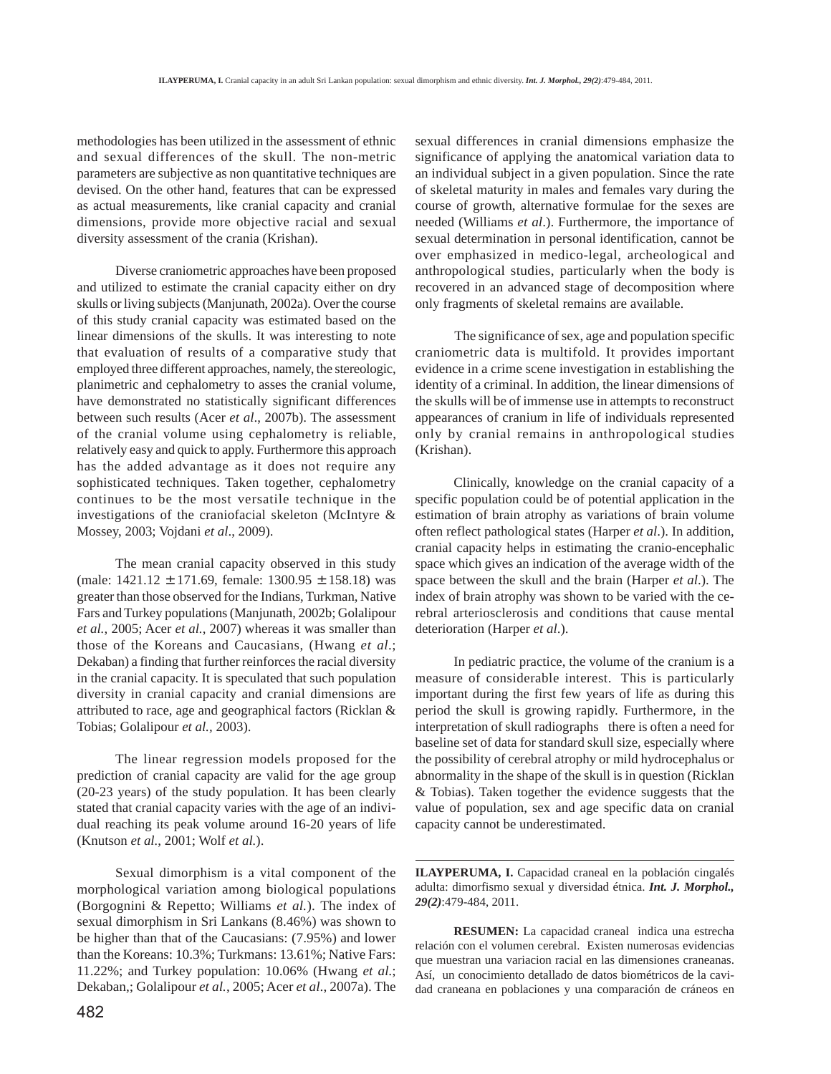methodologies has been utilized in the assessment of ethnic and sexual differences of the skull. The non-metric parameters are subjective as non quantitative techniques are devised. On the other hand, features that can be expressed as actual measurements, like cranial capacity and cranial dimensions, provide more objective racial and sexual diversity assessment of the crania (Krishan).

Diverse craniometric approaches have been proposed and utilized to estimate the cranial capacity either on dry skulls or living subjects (Manjunath, 2002a). Over the course of this study cranial capacity was estimated based on the linear dimensions of the skulls. It was interesting to note that evaluation of results of a comparative study that employed three different approaches, namely, the stereologic, planimetric and cephalometry to asses the cranial volume, have demonstrated no statistically significant differences between such results (Acer *et al*., 2007b). The assessment of the cranial volume using cephalometry is reliable, relatively easy and quick to apply. Furthermore this approach has the added advantage as it does not require any sophisticated techniques. Taken together, cephalometry continues to be the most versatile technique in the investigations of the craniofacial skeleton (McIntyre & Mossey, 2003; Vojdani *et al*., 2009).

The mean cranial capacity observed in this study (male:  $1421.12 \pm 171.69$ , female:  $1300.95 \pm 158.18$ ) was greater than those observed for the Indians, Turkman, Native Fars and Turkey populations (Manjunath, 2002b; Golalipour *et al.*, 2005; Acer *et al.*, 2007) whereas it was smaller than those of the Koreans and Caucasians, (Hwang *et al*.; Dekaban) a finding that further reinforces the racial diversity in the cranial capacity. It is speculated that such population diversity in cranial capacity and cranial dimensions are attributed to race, age and geographical factors (Ricklan & Tobias; Golalipour *et al.,* 2003).

The linear regression models proposed for the prediction of cranial capacity are valid for the age group (20-23 years) of the study population. It has been clearly stated that cranial capacity varies with the age of an individual reaching its peak volume around 16-20 years of life (Knutson *et al.*, 2001; Wolf *et al.*).

Sexual dimorphism is a vital component of the morphological variation among biological populations (Borgognini & Repetto; Williams *et al.*). The index of sexual dimorphism in Sri Lankans (8.46%) was shown to be higher than that of the Caucasians: (7.95%) and lower than the Koreans: 10.3%; Turkmans: 13.61%; Native Fars: 11.22%; and Turkey population: 10.06% (Hwang *et al*.; Dekaban,; Golalipour *et al.*, 2005; Acer *et al*., 2007a). The

482

sexual differences in cranial dimensions emphasize the significance of applying the anatomical variation data to an individual subject in a given population. Since the rate of skeletal maturity in males and females vary during the course of growth, alternative formulae for the sexes are needed (Williams *et al*.). Furthermore, the importance of sexual determination in personal identification, cannot be over emphasized in medico-legal, archeological and anthropological studies, particularly when the body is recovered in an advanced stage of decomposition where only fragments of skeletal remains are available.

 The significance of sex, age and population specific craniometric data is multifold. It provides important evidence in a crime scene investigation in establishing the identity of a criminal. In addition, the linear dimensions of the skulls will be of immense use in attempts to reconstruct appearances of cranium in life of individuals represented only by cranial remains in anthropological studies (Krishan).

Clinically, knowledge on the cranial capacity of a specific population could be of potential application in the estimation of brain atrophy as variations of brain volume often reflect pathological states (Harper *et al*.). In addition, cranial capacity helps in estimating the cranio-encephalic space which gives an indication of the average width of the space between the skull and the brain (Harper *et al*.). The index of brain atrophy was shown to be varied with the cerebral arteriosclerosis and conditions that cause mental deterioration (Harper *et al*.).

In pediatric practice, the volume of the cranium is a measure of considerable interest. This is particularly important during the first few years of life as during this period the skull is growing rapidly. Furthermore, in the interpretation of skull radiographs there is often a need for baseline set of data for standard skull size, especially where the possibility of cerebral atrophy or mild hydrocephalus or abnormality in the shape of the skull is in question (Ricklan & Tobias). Taken together the evidence suggests that the value of population, sex and age specific data on cranial capacity cannot be underestimated.

**ILAYPERUMA, I.** Capacidad craneal en la población cingalés adulta: dimorfismo sexual y diversidad étnica. *Int. J. Morphol., 29(2)*:479-484, 2011.

**RESUMEN:** La capacidad craneal indica una estrecha relación con el volumen cerebral. Existen numerosas evidencias que muestran una variacion racial en las dimensiones craneanas. Así, un conocimiento detallado de datos biométricos de la cavidad craneana en poblaciones y una comparación de cráneos en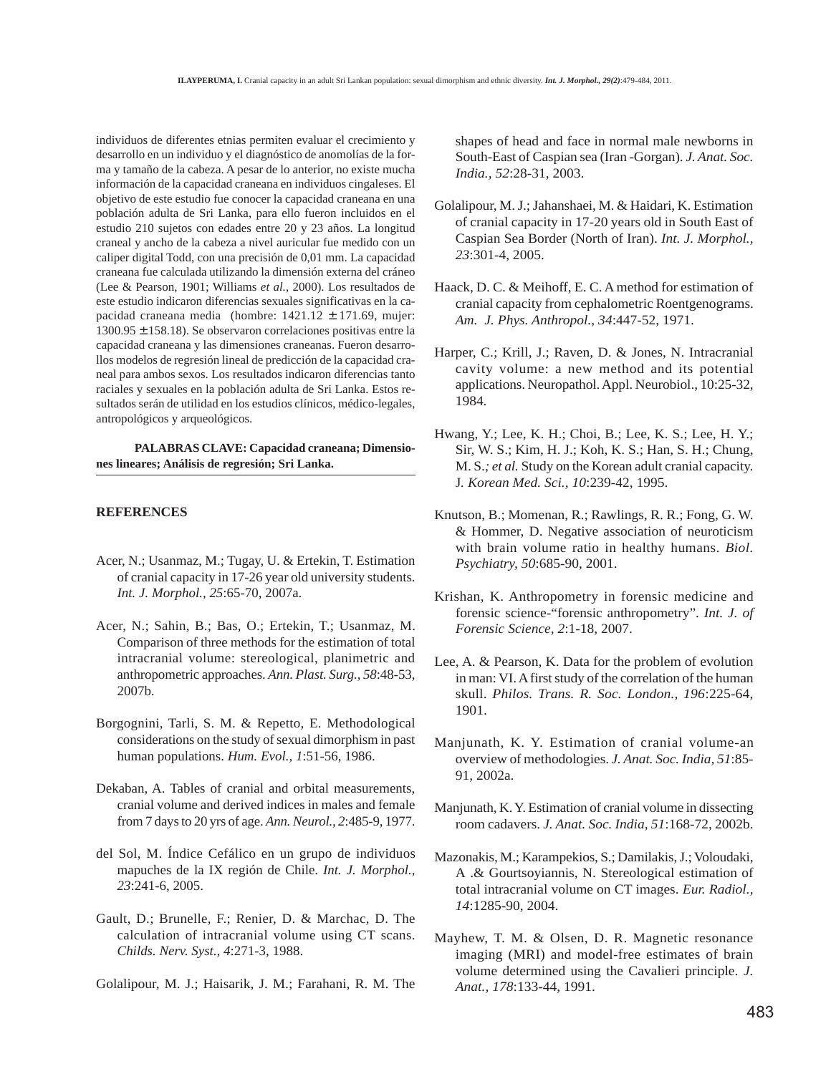individuos de diferentes etnias permiten evaluar el crecimiento y desarrollo en un individuo y el diagnóstico de anomolías de la forma y tamaño de la cabeza. A pesar de lo anterior, no existe mucha información de la capacidad craneana en individuos cingaleses. El objetivo de este estudio fue conocer la capacidad craneana en una población adulta de Sri Lanka, para ello fueron incluidos en el estudio 210 sujetos con edades entre 20 y 23 años. La longitud craneal y ancho de la cabeza a nivel auricular fue medido con un caliper digital Todd, con una precisión de 0,01 mm. La capacidad craneana fue calculada utilizando la dimensión externa del cráneo (Lee & Pearson, 1901; Williams *et al.*, 2000). Los resultados de este estudio indicaron diferencias sexuales significativas en la capacidad craneana media (hombre:  $1421.12 \pm 171.69$ , mujer: 1300.95 ± 158.18). Se observaron correlaciones positivas entre la capacidad craneana y las dimensiones craneanas. Fueron desarrollos modelos de regresión lineal de predicción de la capacidad craneal para ambos sexos. Los resultados indicaron diferencias tanto raciales y sexuales en la población adulta de Sri Lanka. Estos resultados serán de utilidad en los estudios clínicos, médico-legales, antropológicos y arqueológicos.

**PALABRAS CLAVE: Capacidad craneana; Dimensiones lineares; Análisis de regresión; Sri Lanka.**

### **REFERENCES**

- Acer, N.; Usanmaz, M.; Tugay, U. & Ertekin, T. Estimation of cranial capacity in 17-26 year old university students. *Int. J. Morphol., 25*:65-70, 2007a.
- Acer, N.; Sahin, B.; Bas, O.; Ertekin, T.; Usanmaz, M. Comparison of three methods for the estimation of total intracranial volume: stereological, planimetric and anthropometric approaches. *Ann. Plast. Surg., 58*:48-53, 2007b.
- Borgognini, Tarli, S. M. & Repetto, E. Methodological considerations on the study of sexual dimorphism in past human populations. *Hum. Evol., 1*:51-56, 1986.
- Dekaban, A. Tables of cranial and orbital measurements, cranial volume and derived indices in males and female from 7 days to 20 yrs of age. *Ann. Neurol., 2*:485-9, 1977.
- del Sol, M. Índice Cefálico en un grupo de individuos mapuches de la IX región de Chile. *Int. J. Morphol., 23*:241-6, 2005.
- Gault, D.; Brunelle, F.; Renier, D. & Marchac, D. The calculation of intracranial volume using CT scans. *Childs. Nerv. Syst., 4*:271-3, 1988.

Golalipour, M. J.; Haisarik, J. M.; Farahani, R. M. The

shapes of head and face in normal male newborns in South-East of Caspian sea (Iran -Gorgan). *J. Anat. Soc. India., 52*:28-31, 2003.

- Golalipour, M. J.; Jahanshaei, M. & Haidari, K. Estimation of cranial capacity in 17-20 years old in South East of Caspian Sea Border (North of Iran). *Int. J. Morphol., 23*:301-4, 2005.
- Haack, D. C. & Meihoff, E. C. A method for estimation of cranial capacity from cephalometric Roentgenograms. *Am. J. Phys. Anthropol., 34*:447-52, 1971.
- Harper, C.; Krill, J.; Raven, D. & Jones, N. Intracranial cavity volume: a new method and its potential applications. Neuropathol. Appl. Neurobiol., 10:25-32, 1984.
- Hwang, Y.; Lee, K. H.; Choi, B.; Lee, K. S.; Lee, H. Y.; Sir, W. S.; Kim, H. J.; Koh, K. S.; Han, S. H.; Chung, M. S.*; et al.* Study on the Korean adult cranial capacity. J*. Korean Med. Sci., 10*:239-42, 1995.
- Knutson, B.; Momenan, R.; Rawlings, R. R.; Fong, G. W. & Hommer, D. Negative association of neuroticism with brain volume ratio in healthy humans. *Biol. Psychiatry, 50*:685-90, 2001.
- Krishan, K. Anthropometry in forensic medicine and forensic science-"forensic anthropometry". *Int. J. of Forensic Science, 2*:1-18, 2007.
- Lee, A. & Pearson, K. Data for the problem of evolution in man: VI. A first study of the correlation of the human skull. *Philos. Trans. R. Soc. London., 196*:225-64, 1901.
- Manjunath, K. Y. Estimation of cranial volume-an overview of methodologies. *J. Anat. Soc. India, 51*:85- 91, 2002a.
- Manjunath, K. Y. Estimation of cranial volume in dissecting room cadavers. *J. Anat. Soc. India, 51*:168-72, 2002b.
- Mazonakis, M.; Karampekios, S.; Damilakis, J.; Voloudaki, A .& Gourtsoyiannis, N. Stereological estimation of total intracranial volume on CT images. *Eur. Radiol., 14*:1285-90, 2004.
- Mayhew, T. M. & Olsen, D. R. Magnetic resonance imaging (MRI) and model-free estimates of brain volume determined using the Cavalieri principle. *J. Anat., 178*:133-44, 1991.